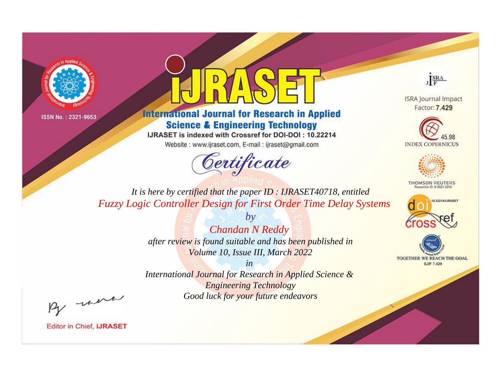



**International Journal for Research in Applied Science & Engineering Technology** 

IJRASET is indexed with Crossref for DOI-DOI: 10.22214

Website: www.ijraset.com, E-mail: ijraset@gmail.com



JERA

**ISRA Journal Impact** Factor: 7.429





**THOMSON REUTERS** 



TOGETHER WE REACH THE GOAL **SJIF 7.429** 

It is here by certified that the paper ID: IJRASET40718, entitled **Fuzzy Logic Controller Design for First Order Time Delay Systems** 

> **Chandan N Reddy** after review is found suitable and has been published in Volume 10, Issue III, March 2022

 $b\nu$ 

 $in$ International Journal for Research in Applied Science & **Engineering Technology** Good luck for your future endeavors

By morn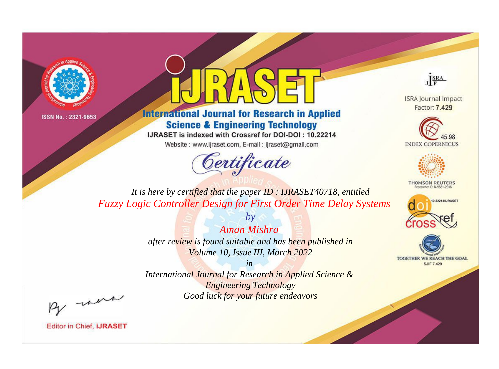



**International Journal for Research in Applied Science & Engineering Technology** 

IJRASET is indexed with Crossref for DOI-DOI: 10.22214

Website: www.ijraset.com, E-mail: ijraset@gmail.com



JERA

**ISRA Journal Impact** Factor: 7.429





**THOMSON REUTERS** 



TOGETHER WE REACH THE GOAL **SJIF 7.429** 

*It is here by certified that the paper ID : IJRASET40718, entitled Fuzzy Logic Controller Design for First Order Time Delay Systems*

> *Aman Mishra after review is found suitable and has been published in Volume 10, Issue III, March 2022*

*by*

*in* 

*International Journal for Research in Applied Science & Engineering Technology Good luck for your future endeavors*

By morn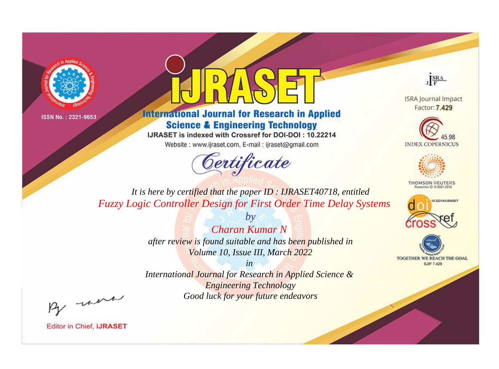



**International Journal for Research in Applied Science & Engineering Technology** 

IJRASET is indexed with Crossref for DOI-DOI: 10.22214

Website: www.ijraset.com, E-mail: ijraset@gmail.com



JERA

**ISRA Journal Impact** Factor: 7.429





**THOMSON REUTERS** 



TOGETHER WE REACH THE GOAL **SJIF 7.429** 

It is here by certified that the paper ID: IJRASET40718, entitled **Fuzzy Logic Controller Design for First Order Time Delay Systems** 

> **Charan Kumar N** after review is found suitable and has been published in Volume 10, Issue III, March 2022

 $b\nu$ 

 $in$ International Journal for Research in Applied Science & **Engineering Technology** Good luck for your future endeavors

By morn